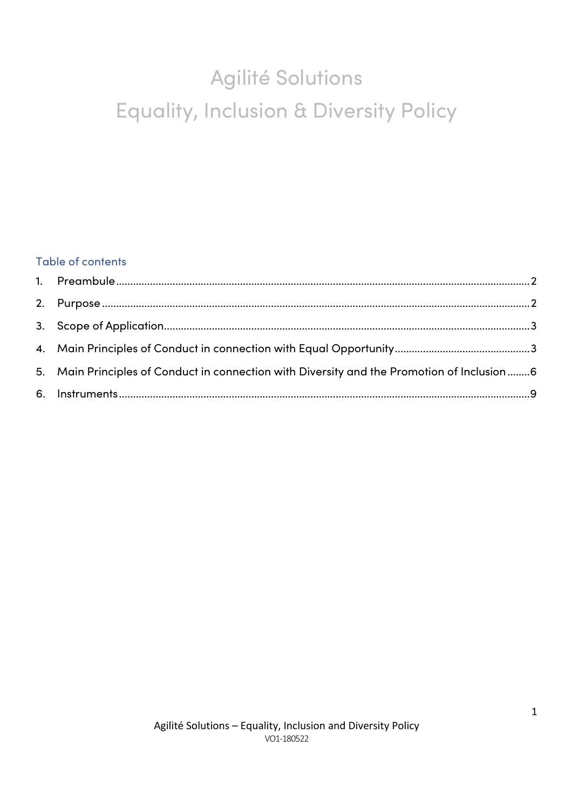# Agilité Solutions Equality, Inclusion & Diversity Policy

# Table of contents

| 5. Main Principles of Conduct in connection with Diversity and the Promotion of Inclusion6 |  |
|--------------------------------------------------------------------------------------------|--|
|                                                                                            |  |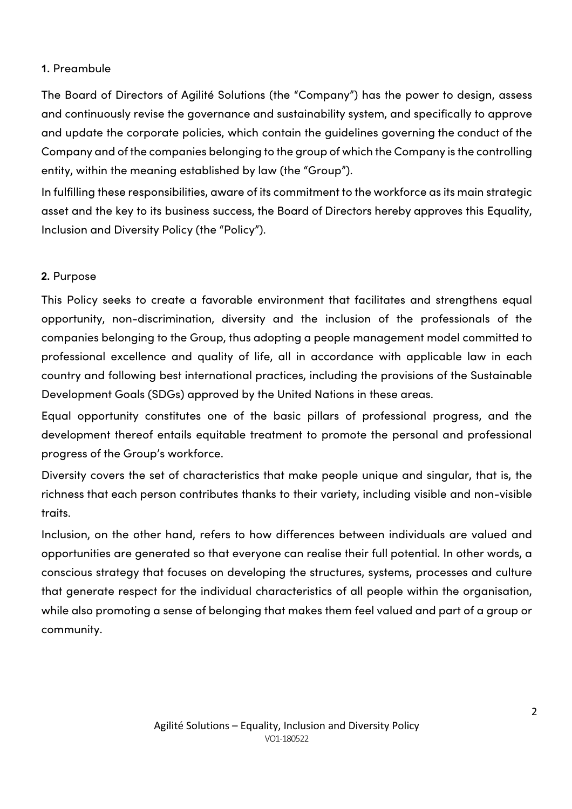#### **1.** Preambule

The Board of Directors of Agilité Solutions (the "Company") has the power to design, assess and continuously revise the governance and sustainability system, and specifically to approve and update the corporate policies, which contain the guidelines governing the conduct of the Company and of the companies belonging to the group of which the Company is the controlling entity, within the meaning established by law (the "Group").

In fulfilling these responsibilities, aware of its commitment to the workforce as its main strategic asset and the key to its business success, the Board of Directors hereby approves this Equality, Inclusion and Diversity Policy (the "Policy").

### **2.** Purpose

This Policy seeks to create a favorable environment that facilitates and strengthens equal opportunity, non-discrimination, diversity and the inclusion of the professionals of the companies belonging to the Group, thus adopting a people management model committed to professional excellence and quality of life, all in accordance with applicable law in each country and following best international practices, including the provisions of the Sustainable Development Goals (SDGs) approved by the United Nations in these areas.

Equal opportunity constitutes one of the basic pillars of professional progress, and the development thereof entails equitable treatment to promote the personal and professional progress of the Group's workforce.

Diversity covers the set of characteristics that make people unique and singular, that is, the richness that each person contributes thanks to their variety, including visible and non-visible traits.

Inclusion, on the other hand, refers to how differences between individuals are valued and opportunities are generated so that everyone can realise their full potential. In other words, a conscious strategy that focuses on developing the structures, systems, processes and culture that generate respect for the individual characteristics of all people within the organisation, while also promoting a sense of belonging that makes them feel valued and part of a group or community.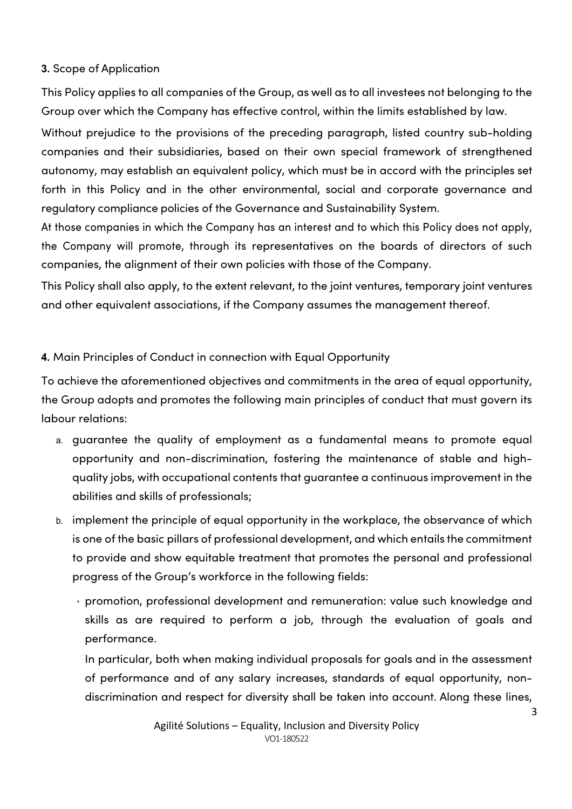#### **3.** Scope of Application

This Policy applies to all companies of the Group, as well as to all investees not belonging to the Group over which the Company has effective control, within the limits established by law.

Without prejudice to the provisions of the preceding paragraph, listed country sub-holding companies and their subsidiaries, based on their own special framework of strengthened autonomy, may establish an equivalent policy, which must be in accord with the principles set forth in this Policy and in the other environmental, social and corporate governance and regulatory compliance policies of the Governance and Sustainability System.

At those companies in which the Company has an interest and to which this Policy does not apply, the Company will promote, through its representatives on the boards of directors of such companies, the alignment of their own policies with those of the Company.

This Policy shall also apply, to the extent relevant, to the joint ventures, temporary joint ventures and other equivalent associations, if the Company assumes the management thereof.

## **4.** Main Principles of Conduct in connection with Equal Opportunity

To achieve the aforementioned objectives and commitments in the area of equal opportunity, the Group adopts and promotes the following main principles of conduct that must govern its labour relations:

- a. guarantee the quality of employment as a fundamental means to promote equal opportunity and non-discrimination, fostering the maintenance of stable and highquality jobs, with occupational contents that guarantee a continuous improvement in the abilities and skills of professionals;
- b. implement the principle of equal opportunity in the workplace, the observance of which is one of the basic pillars of professional development, and which entails the commitment to provide and show equitable treatment that promotes the personal and professional progress of the Group's workforce in the following fields:
	- promotion, professional development and remuneration: value such knowledge and skills as are required to perform a job, through the evaluation of goals and performance.

In particular, both when making individual proposals for goals and in the assessment of performance and of any salary increases, standards of equal opportunity, nondiscrimination and respect for diversity shall be taken into account. Along these lines,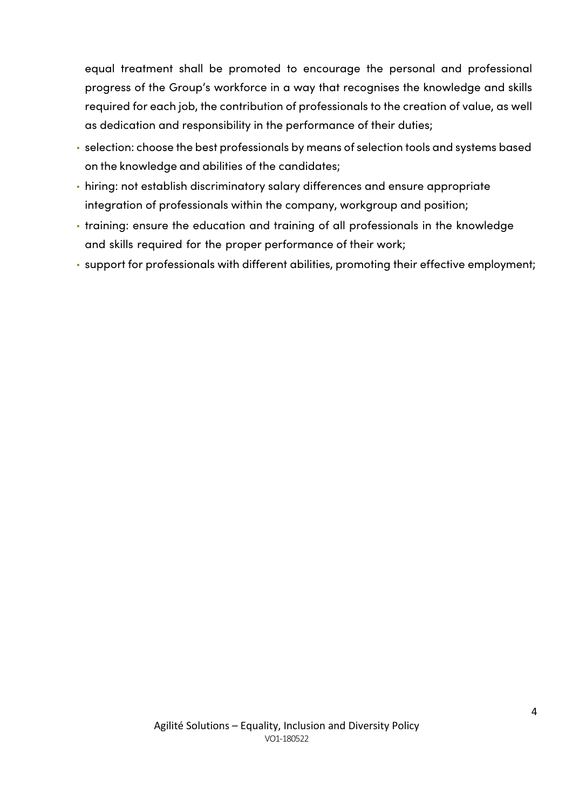equal treatment shall be promoted to encourage the personal and professional progress of the Group's workforce in a way that recognises the knowledge and skills required for each job, the contribution of professionals to the creation of value, as well as dedication and responsibility in the performance of their duties;

- selection: choose the best professionals by means of selection tools and systems based on the knowledge and abilities of the candidates;
- hiring: not establish discriminatory salary differences and ensure appropriate integration of professionals within the company, workgroup and position;
- training: ensure the education and training of all professionals in the knowledge and skills required for the proper performance of their work;
- support for professionals with different abilities, promoting their effective employment;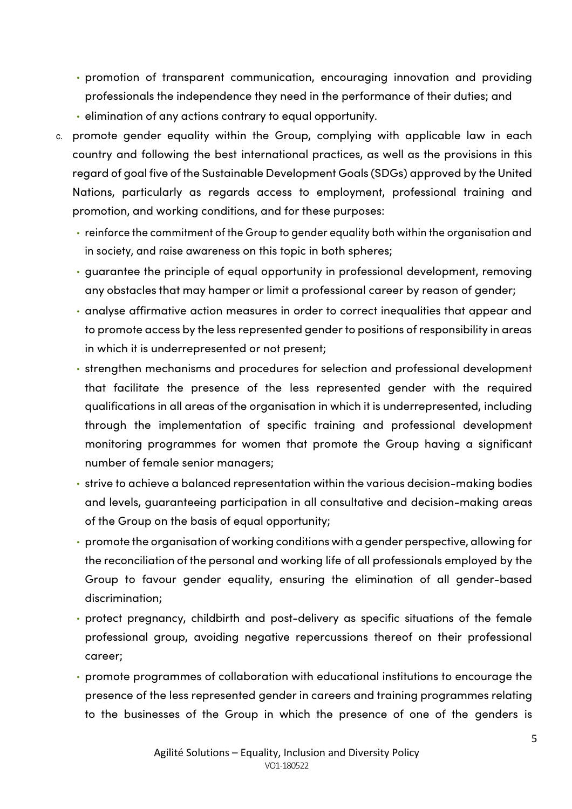- promotion of transparent communication, encouraging innovation and providing professionals the independence they need in the performance of their duties; and
- elimination of any actions contrary to equal opportunity.
- c. promote gender equality within the Group, complying with applicable law in each country and following the best international practices, as well as the provisions in this regard of goal five of the Sustainable Development Goals (SDGs) approved by the United Nations, particularly as regards access to employment, professional training and promotion, and working conditions, and for these purposes:
	- reinforce the commitment of the Group to gender equality both within the organisation and in society, and raise awareness on this topic in both spheres;
	- guarantee the principle of equal opportunity in professional development, removing any obstacles that may hamper or limit a professional career by reason of gender;
	- analyse affirmative action measures in order to correct inequalities that appear and to promote access by the less represented gender to positions of responsibility in areas in which it is underrepresented or not present;
	- strengthen mechanisms and procedures for selection and professional development that facilitate the presence of the less represented gender with the required qualifications in all areas of the organisation in which it is underrepresented, including through the implementation of specific training and professional development monitoring programmes for women that promote the Group having a significant number of female senior managers;
	- strive to achieve a balanced representation within the various decision-making bodies and levels, guaranteeing participation in all consultative and decision-making areas of the Group on the basis of equal opportunity;
	- promote the organisation of working conditions with a gender perspective, allowing for the reconciliation of the personal and working life of all professionals employed by the Group to favour gender equality, ensuring the elimination of all gender-based discrimination;
	- protect pregnancy, childbirth and post-delivery as specific situations of the female professional group, avoiding negative repercussions thereof on their professional career;
	- promote programmes of collaboration with educational institutions to encourage the presence of the less represented gender in careers and training programmes relating to the businesses of the Group in which the presence of one of the genders is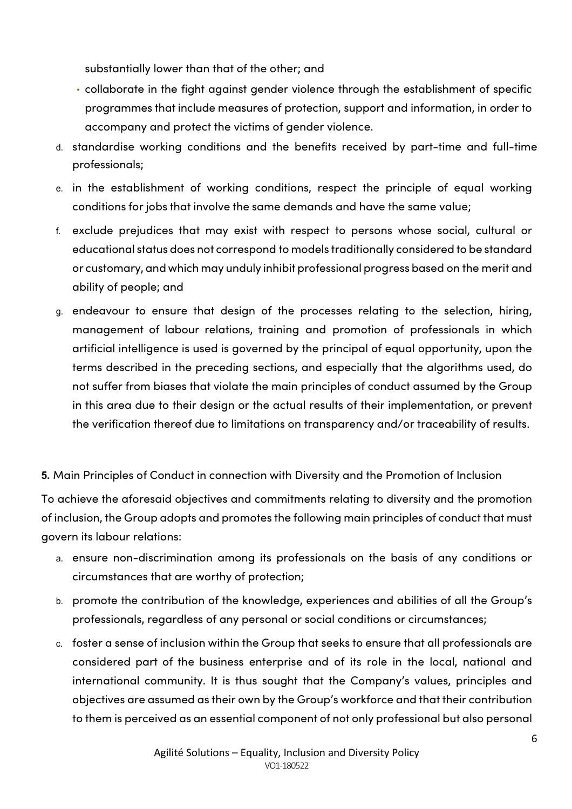substantially lower than that of the other; and

- collaborate in the fight against gender violence through the establishment of specific programmes that include measures of protection, support and information, in order to accompany and protect the victims of gender violence.
- d. standardise working conditions and the benefits received by part-time and full-time professionals;
- e. in the establishment of working conditions, respect the principle of equal working conditions for jobs that involve the same demands and have the same value;
- f. exclude prejudices that may exist with respect to persons whose social, cultural or educational status does not correspond to models traditionally considered to be standard or customary, and which may unduly inhibit professional progress based on the merit and ability of people; and
- g. endeavour to ensure that design of the processes relating to the selection, hiring, management of labour relations, training and promotion of professionals in which artificial intelligence is used is governed by the principal of equal opportunity, upon the terms described in the preceding sections, and especially that the algorithms used, do not suffer from biases that violate the main principles of conduct assumed by the Group in this area due to their design or the actual results of their implementation, or prevent the verification thereof due to limitations on transparency and/or traceability of results.

**5.** Main Principles of Conduct in connection with Diversity and the Promotion of Inclusion

To achieve the aforesaid objectives and commitments relating to diversity and the promotion of inclusion, the Group adopts and promotes the following main principles of conduct that must govern its labour relations:

- a. ensure non-discrimination among its professionals on the basis of any conditions or circumstances that are worthy of protection;
- b. promote the contribution of the knowledge, experiences and abilities of all the Group's professionals, regardless of any personal or social conditions or circumstances;
- c. foster a sense of inclusion within the Group that seeks to ensure that all professionals are considered part of the business enterprise and of its role in the local, national and international community. It is thus sought that the Company's values, principles and objectives are assumed as their own by the Group's workforce and that their contribution to them is perceived as an essential component of not only professional but also personal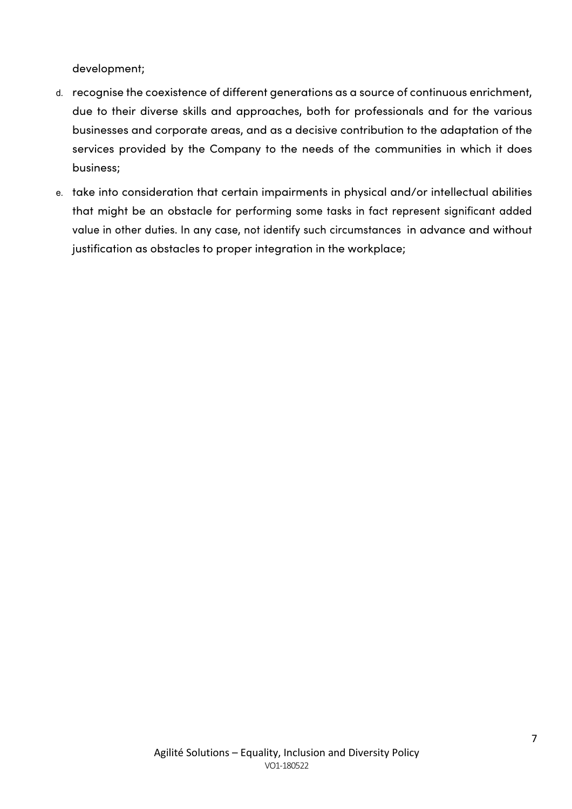development;

- d. recognise the coexistence of different generations as a source of continuous enrichment, due to their diverse skills and approaches, both for professionals and for the various businesses and corporate areas, and as a decisive contribution to the adaptation of the services provided by the Company to the needs of the communities in which it does business;
- e. take into consideration that certain impairments in physical and/or intellectual abilities that might be an obstacle for performing some tasks in fact represent significant added value in other duties. In any case, not identify such circumstances in advance and without justification as obstacles to proper integration in the workplace;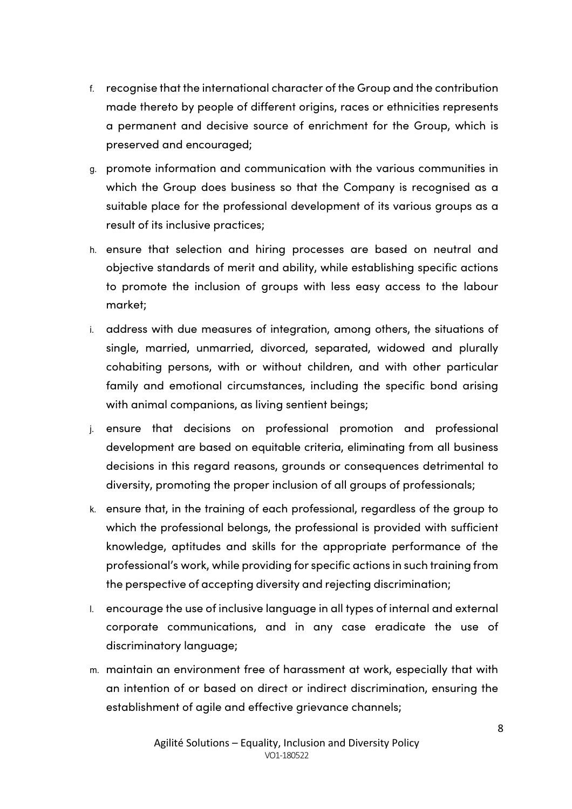- f. recognise that the international character of the Group and the contribution made thereto by people of different origins, races or ethnicities represents a permanent and decisive source of enrichment for the Group, which is preserved and encouraged;
- g. promote information and communication with the various communities in which the Group does business so that the Company is recognised as a suitable place for the professional development of its various groups as a result of its inclusive practices;
- h. ensure that selection and hiring processes are based on neutral and objective standards of merit and ability, while establishing specific actions to promote the inclusion of groups with less easy access to the labour market;
- i. address with due measures of integration, among others, the situations of single, married, unmarried, divorced, separated, widowed and plurally cohabiting persons, with or without children, and with other particular family and emotional circumstances, including the specific bond arising with animal companions, as living sentient beings;
- j. ensure that decisions on professional promotion and professional development are based on equitable criteria, eliminating from all business decisions in this regard reasons, grounds or consequences detrimental to diversity, promoting the proper inclusion of all groups of professionals;
- k. ensure that, in the training of each professional, regardless of the group to which the professional belongs, the professional is provided with sufficient knowledge, aptitudes and skills for the appropriate performance of the professional's work, while providing for specific actions in such training from the perspective of accepting diversity and rejecting discrimination;
- l. encourage the use of inclusive language in all types of internal and external corporate communications, and in any case eradicate the use of discriminatory language;
- m. maintain an environment free of harassment at work, especially that with an intention of or based on direct or indirect discrimination, ensuring the establishment of agile and effective grievance channels;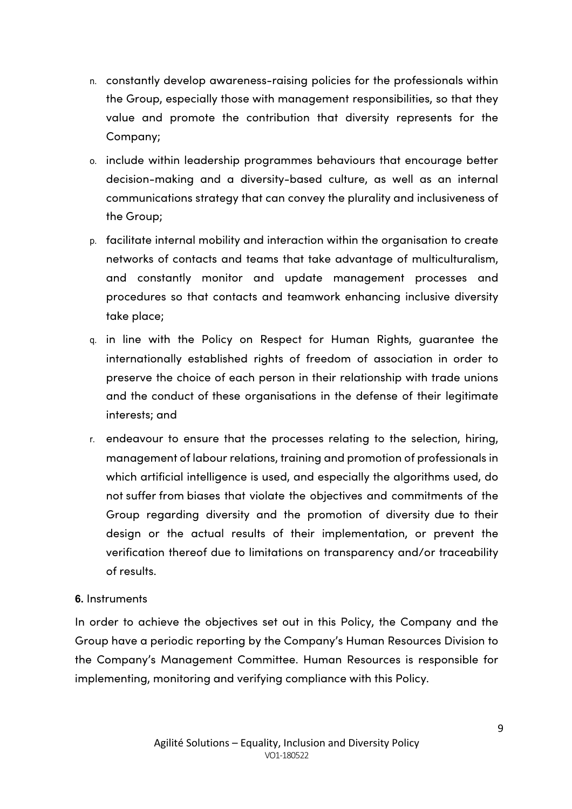- n. constantly develop awareness-raising policies for the professionals within the Group, especially those with management responsibilities, so that they value and promote the contribution that diversity represents for the Company;
- o. include within leadership programmes behaviours that encourage better decision-making and a diversity-based culture, as well as an internal communications strategy that can convey the plurality and inclusiveness of the Group;
- p. facilitate internal mobility and interaction within the organisation to create networks of contacts and teams that take advantage of multiculturalism, and constantly monitor and update management processes and procedures so that contacts and teamwork enhancing inclusive diversity take place;
- q. in line with the Policy on Respect for Human Rights, guarantee the internationally established rights of freedom of association in order to preserve the choice of each person in their relationship with trade unions and the conduct of these organisations in the defense of their legitimate interests; and
- r. endeavour to ensure that the processes relating to the selection, hiring, management of labour relations, training and promotion of professionals in which artificial intelligence is used, and especially the algorithms used, do not suffer from biases that violate the objectives and commitments of the Group regarding diversity and the promotion of diversity due to their design or the actual results of their implementation, or prevent the verification thereof due to limitations on transparency and/or traceability of results.

### **6.** Instruments

In order to achieve the objectives set out in this Policy, the Company and the Group have a periodic reporting by the Company's Human Resources Division to the Company's Management Committee. Human Resources is responsible for implementing, monitoring and verifying compliance with this Policy.